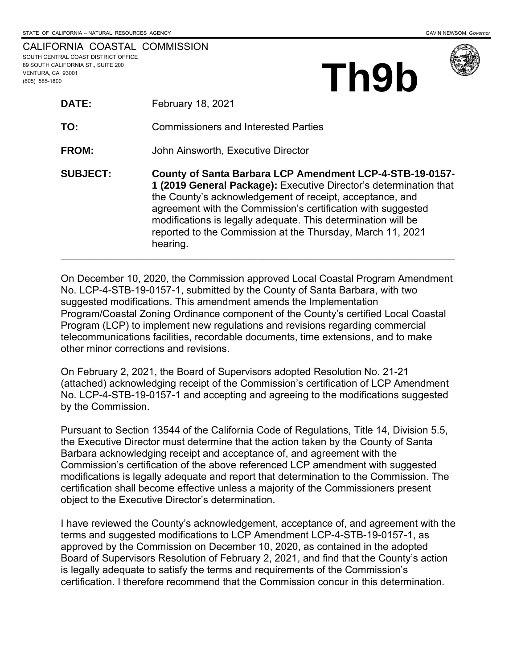**Th9b**

|                                     | CALIFORNIA COASTAL COMMISSION |
|-------------------------------------|-------------------------------|
| SOUTH CENTRAL COAST DISTRICT OFFICE |                               |
| 89 SOUTH CALIFORNIA ST., SUITE 200  |                               |
| VENTURA. CA 93001                   |                               |
| (805) 585-1800                      |                               |

| <b>DATE:</b>    | <b>February 18, 2021</b>                                                                                                                                                                                                                                                                                                                                                                             |
|-----------------|------------------------------------------------------------------------------------------------------------------------------------------------------------------------------------------------------------------------------------------------------------------------------------------------------------------------------------------------------------------------------------------------------|
| TO:             | <b>Commissioners and Interested Parties</b>                                                                                                                                                                                                                                                                                                                                                          |
| <b>FROM:</b>    | John Ainsworth, Executive Director                                                                                                                                                                                                                                                                                                                                                                   |
| <b>SUBJECT:</b> | County of Santa Barbara LCP Amendment LCP-4-STB-19-0157-<br>1 (2019 General Package): Executive Director's determination that<br>the County's acknowledgement of receipt, acceptance, and<br>agreement with the Commission's certification with suggested<br>modifications is legally adequate. This determination will be<br>reported to the Commission at the Thursday, March 11, 2021<br>hearing. |

On December 10, 2020, the Commission approved Local Coastal Program Amendment No. LCP-4-STB-19-0157-1, submitted by the County of Santa Barbara, with two suggested modifications. This amendment amends the Implementation Program/Coastal Zoning Ordinance component of the County's certified Local Coastal Program (LCP) to implement new regulations and revisions regarding commercial telecommunications facilities, recordable documents, time extensions, and to make other minor corrections and revisions.

On February 2, 2021, the Board of Supervisors adopted Resolution No. 21-21 (attached) acknowledging receipt of the Commission's certification of LCP Amendment No. LCP-4-STB-19-0157-1 and accepting and agreeing to the modifications suggested by the Commission.

Pursuant to Section 13544 of the California Code of Regulations, Title 14, Division 5.5, the Executive Director must determine that the action taken by the County of Santa Barbara acknowledging receipt and acceptance of, and agreement with the Commission's certification of the above referenced LCP amendment with suggested modifications is legally adequate and report that determination to the Commission. The certification shall become effective unless a majority of the Commissioners present object to the Executive Director's determination.

I have reviewed the County's acknowledgement, acceptance of, and agreement with the terms and suggested modifications to LCP Amendment LCP-4-STB-19-0157-1, as approved by the Commission on December 10, 2020, as contained in the adopted Board of Supervisors Resolution of February 2, 2021, and find that the County's action is legally adequate to satisfy the terms and requirements of the Commission's certification. I therefore recommend that the Commission concur in this determination.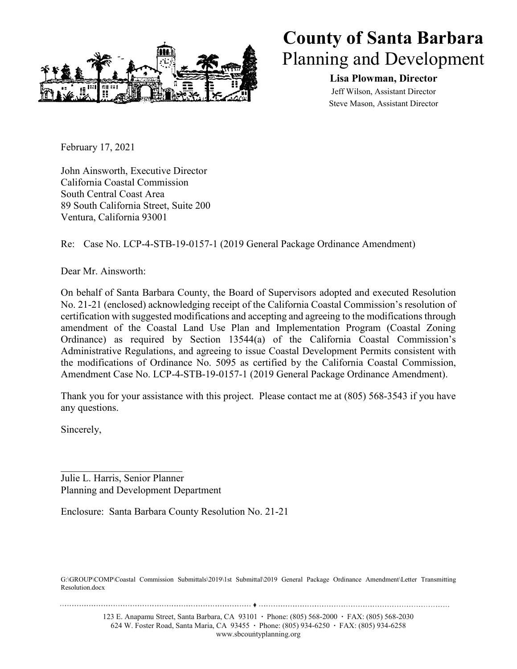

## **County of Santa Barbara** Planning and Development

**Lisa Plowman, Director** Jeff Wilson, Assistant Director Steve Mason, Assistant Director

February 17, 2021

John Ainsworth, Executive Director California Coastal Commission South Central Coast Area 89 South California Street, Suite 200 Ventura, California 93001

Re: Case No. LCP-4-STB-19-0157-1 (2019 General Package Ordinance Amendment)

Dear Mr. Ainsworth:

On behalf of Santa Barbara County, the Board of Supervisors adopted and executed Resolution No. 21-21 (enclosed) acknowledging receipt of the California Coastal Commission's resolution of certification with suggested modifications and accepting and agreeing to the modifications through amendment of the Coastal Land Use Plan and Implementation Program (Coastal Zoning Ordinance) as required by Section 13544(a) of the California Coastal Commission's Administrative Regulations, and agreeing to issue Coastal Development Permits consistent with the modifications of Ordinance No. 5095 as certified by the California Coastal Commission, Amendment Case No. LCP-4-STB-19-0157-1 (2019 General Package Ordinance Amendment).

Thank you for your assistance with this project. Please contact me at (805) 568-3543 if you have any questions.

Sincerely,

Julie L. Harris, Senior Planner Planning and Development Department

Enclosure: Santa Barbara County Resolution No. 21-21

G:\GROUP\COMP\Coastal Commission Submittals\2019\1st Submittal\2019 General Package Ordinance Amendment\Letter Transmitting Resolution.docx

123 E. Anapamu Street, Santa Barbara, CA 93101 **∙** Phone: (805) 568-2000 **∙** FAX: (805) 568-2030 624 W. Foster Road, Santa Maria, CA 93455 **∙** Phone: (805) 934-6250 **∙** FAX: (805) 934-6258 www.sbcountyplanning.org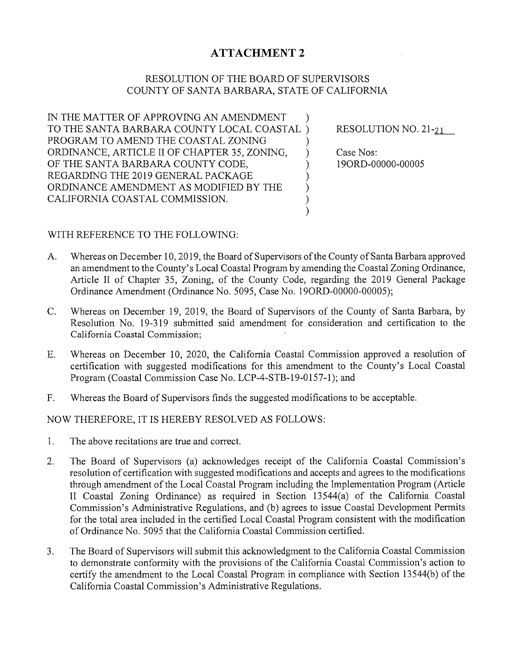## **ATTACHMENT 2**

## RESOLUTION OF THE BOARD OF SUPERVISORS COUNTY OF SANTA BARBARA, STATE OF CALIFORNIA

IN THE MATTER OF APPROVING AN AMENDMENT  $\lambda$ TO THE SANTA BARBARA COUNTY LOCAL COASTAL) PROGRAM TO AMEND THE COASTAL ZONING  $\mathcal{E}$ ORDINANCE, ARTICLE II OF CHAPTER 35, ZONING,  $\mathcal{L}$ OF THE SANTA BARBARA COUNTY CODE,  $\mathcal{E}$ REGARDING THE 2019 GENERAL PACKAGE )))) ORDINANCE AMENDMENT AS MODIFIED BY THE CALIFORNIA COASTAL COMMISSION.

RESOLUTION NO.  $21-21$ 

Case Nos: 19ORD-00000-00005

## WITH REFERENCE TO THE FOLLOWING:

- Whereas on December 10, 2019, the Board of Supervisors of the County of Santa Barbara approved  $A_{\cdot}$ an amendment to the County's Local Coastal Program by amending the Coastal Zoning Ordinance, Article II of Chapter 35, Zoning, of the County Code, regarding the 2019 General Package Ordinance Amendment (Ordinance No. 5095, Case No. 19ORD-00000-00005);
- $C_{\cdot}$ Whereas on December 19, 2019, the Board of Supervisors of the County of Santa Barbara, by Resolution No. 19-319 submitted said amendment for consideration and certification to the California Coastal Commission;
- Whereas on December 10, 2020, the California Coastal Commission approved a resolution of  $E_{\cdot}$ certification with suggested modifications for this amendment to the County's Local Coastal Program (Coastal Commission Case No. LCP-4-STB-19-0157-1); and
- F. Whereas the Board of Supervisors finds the suggested modifications to be acceptable.

NOW THEREFORE, IT IS HEREBY RESOLVED AS FOLLOWS:

- $1.$ The above recitations are true and correct.
- The Board of Supervisors (a) acknowledges receipt of the California Coastal Commission's  $2.$ resolution of certification with suggested modifications and accepts and agrees to the modifications through amendment of the Local Coastal Program including the Implementation Program (Article II Coastal Zoning Ordinance) as required in Section 13544(a) of the California Coastal Commission's Administrative Regulations, and (b) agrees to issue Coastal Development Permits for the total area included in the certified Local Coastal Program consistent with the modification of Ordinance No. 5095 that the California Coastal Commission certified.
- 3. The Board of Supervisors will submit this acknowledgment to the California Coastal Commission to demonstrate conformity with the provisions of the California Coastal Commission's action to certify the amendment to the Local Coastal Program in compliance with Section 13544(b) of the California Coastal Commission's Administrative Regulations.